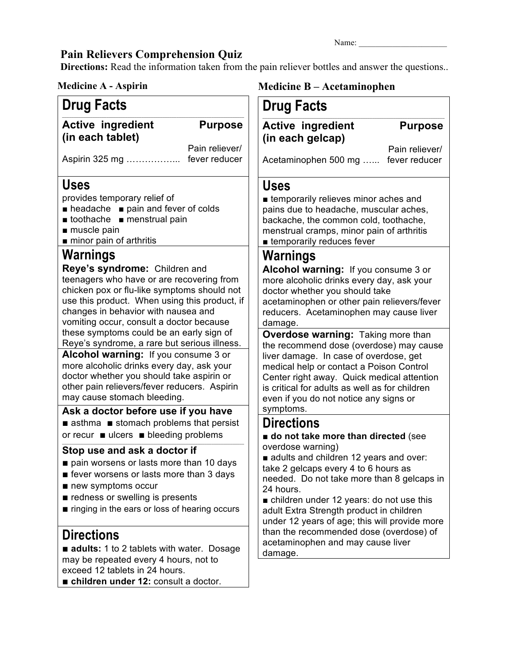## **Pain Relievers Comprehension Quiz**

**Directions:** Read the information taken from the pain reliever bottles and answer the questions..

Name:

| <b>Medicine A - Aspirin</b>                                                                                                                                                                      | <b>Medicine B - Acetaminophen</b>                                                                                                                                                                                                                                                                                                                                             |  |  |
|--------------------------------------------------------------------------------------------------------------------------------------------------------------------------------------------------|-------------------------------------------------------------------------------------------------------------------------------------------------------------------------------------------------------------------------------------------------------------------------------------------------------------------------------------------------------------------------------|--|--|
| <b>Drug Facts</b>                                                                                                                                                                                | <b>Drug Facts</b>                                                                                                                                                                                                                                                                                                                                                             |  |  |
| <b>Active ingredient</b>                                                                                                                                                                         | <b>Active ingredient</b>                                                                                                                                                                                                                                                                                                                                                      |  |  |
| <b>Purpose</b>                                                                                                                                                                                   | <b>Purpose</b>                                                                                                                                                                                                                                                                                                                                                                |  |  |
| (in each tablet)                                                                                                                                                                                 | (in each gelcap)                                                                                                                                                                                                                                                                                                                                                              |  |  |
| Pain reliever/                                                                                                                                                                                   | Pain reliever/                                                                                                                                                                                                                                                                                                                                                                |  |  |
| Aspirin 325 mg  fever reducer                                                                                                                                                                    | Acetaminophen 500 mg  fever reducer                                                                                                                                                                                                                                                                                                                                           |  |  |
| <b>Uses</b>                                                                                                                                                                                      | <b>Uses</b>                                                                                                                                                                                                                                                                                                                                                                   |  |  |
| provides temporary relief of                                                                                                                                                                     | <b>Example 1</b> temporarily relieves minor aches and                                                                                                                                                                                                                                                                                                                         |  |  |
| $\blacksquare$ headache $\blacksquare$ pain and fever of colds                                                                                                                                   | pains due to headache, muscular aches,                                                                                                                                                                                                                                                                                                                                        |  |  |
| $\blacksquare$ toothache $\blacksquare$ menstrual pain                                                                                                                                           | backache, the common cold, toothache,                                                                                                                                                                                                                                                                                                                                         |  |  |
| muscle pain                                                                                                                                                                                      | menstrual cramps, minor pain of arthritis                                                                                                                                                                                                                                                                                                                                     |  |  |
| minor pain of arthritis                                                                                                                                                                          | <b>Example and the temporarily reduces fever</b>                                                                                                                                                                                                                                                                                                                              |  |  |
| Warnings                                                                                                                                                                                         | Warnings                                                                                                                                                                                                                                                                                                                                                                      |  |  |
| Reye's syndrome: Children and                                                                                                                                                                    | Alcohol warning: If you consume 3 or                                                                                                                                                                                                                                                                                                                                          |  |  |
| teenagers who have or are recovering from                                                                                                                                                        | more alcoholic drinks every day, ask your                                                                                                                                                                                                                                                                                                                                     |  |  |
| chicken pox or flu-like symptoms should not                                                                                                                                                      | doctor whether you should take                                                                                                                                                                                                                                                                                                                                                |  |  |
| use this product. When using this product, if                                                                                                                                                    | acetaminophen or other pain relievers/fever                                                                                                                                                                                                                                                                                                                                   |  |  |
| changes in behavior with nausea and                                                                                                                                                              | reducers. Acetaminophen may cause liver                                                                                                                                                                                                                                                                                                                                       |  |  |
| vomiting occur, consult a doctor because                                                                                                                                                         | damage.                                                                                                                                                                                                                                                                                                                                                                       |  |  |
| these symptoms could be an early sign of                                                                                                                                                         | Overdose warning: Taking more than                                                                                                                                                                                                                                                                                                                                            |  |  |
| Reye's syndrome, a rare but serious illness.                                                                                                                                                     | the recommend dose (overdose) may cause                                                                                                                                                                                                                                                                                                                                       |  |  |
| Alcohol warning: If you consume 3 or                                                                                                                                                             | liver damage. In case of overdose, get                                                                                                                                                                                                                                                                                                                                        |  |  |
| more alcoholic drinks every day, ask your                                                                                                                                                        | medical help or contact a Poison Control                                                                                                                                                                                                                                                                                                                                      |  |  |
| doctor whether you should take aspirin or                                                                                                                                                        | Center right away. Quick medical attention                                                                                                                                                                                                                                                                                                                                    |  |  |
| other pain relievers/fever reducers. Aspirin                                                                                                                                                     | is critical for adults as well as for children                                                                                                                                                                                                                                                                                                                                |  |  |
| may cause stomach bleeding.                                                                                                                                                                      | even if you do not notice any signs or                                                                                                                                                                                                                                                                                                                                        |  |  |
| Ask a doctor before use if you have                                                                                                                                                              | symptoms.                                                                                                                                                                                                                                                                                                                                                                     |  |  |
| asthma stomach problems that persist                                                                                                                                                             | <b>Directions</b>                                                                                                                                                                                                                                                                                                                                                             |  |  |
| or recur ■ ulcers ■ bleeding problems                                                                                                                                                            | do not take more than directed (see                                                                                                                                                                                                                                                                                                                                           |  |  |
| Stop use and ask a doctor if                                                                                                                                                                     | overdose warning)                                                                                                                                                                                                                                                                                                                                                             |  |  |
| pain worsens or lasts more than 10 days<br>get fever worsens or lasts more than 3 days<br>new symptoms occur<br>redness or swelling is presents<br>ringing in the ears or loss of hearing occurs | adults and children 12 years and over:<br>take 2 gelcaps every 4 to 6 hours as<br>needed. Do not take more than 8 gelcaps in<br>24 hours.<br>children under 12 years: do not use this<br>adult Extra Strength product in children<br>under 12 years of age; this will provide more<br>than the recommended dose (overdose) of<br>acetaminophen and may cause liver<br>damage. |  |  |
| <b>Directions</b><br>adults: 1 to 2 tablets with water. Dosage<br>may be repeated every 4 hours, not to<br>exceed 12 tablets in 24 hours.                                                        |                                                                                                                                                                                                                                                                                                                                                                               |  |  |

■ **children under 12:** consult a doctor.